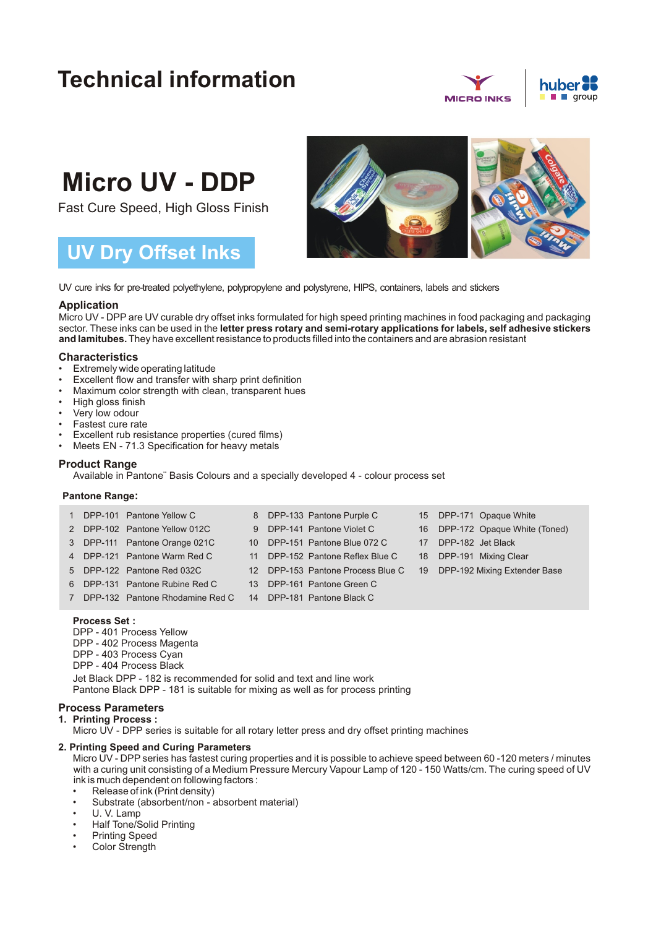## **Technical information**





# **Micro UV - DDP**

Fast Cure Speed, High Gloss Finish

### **UV Dry Offset Inks**



UV cure inks for pre-treated polyethylene, polypropylene and polystyrene, HIPS, containers, labels and stickers

#### **Application**

Micro UV - DPP are UV curable dry offset inks formulated for high speed printing machines in food packaging and packaging sector. These inks can be used in the **letter press rotary and semi-rotary applications for labels, self adhesive stickers and lamitubes.**They have excellent resistance to products filled into the containers and are abrasion resistant

#### **Characteristics**

- Extremely wide operating latitude
- Excellent flow and transfer with sharp print definition
- Maximum color strength with clean, transparent hues
- High gloss finish
- Very low odour
- Fastest cure rate
- Excellent rub resistance properties (cured films)
- Meets EN 71.3 Specification for heavy metals

#### **Product Range**

Available in Pantone¨ Basis Colours and a specially developed 4 - colour process set

#### **Pantone Range:**

| 1 | DPP-101 Pantone Yellow C        | 8 DPP-133 Pantone Purple C        |    | 15 DPP-171 Opaque White         |
|---|---------------------------------|-----------------------------------|----|---------------------------------|
|   | 2 DPP-102 Pantone Yellow 012C   | 9 DPP-141 Pantone Violet C        |    | 16 DPP-172 Opaque White (Toned) |
|   | 3 DPP-111 Pantone Orange 021C   | 10 DPP-151 Pantone Blue 072 C     | 17 | DPP-182 Jet Black               |
|   | 4 DPP-121 Pantone Warm Red C    | 11 DPP-152 Pantone Reflex Blue C  | 18 | DPP-191 Mixing Clear            |
|   | 5 DPP-122 Pantone Red 032C      | 12 DPP-153 Pantone Process Blue C |    | 19 DPP-192 Mixing Extender Base |
|   | 6 DPP-131 Pantone Rubine Red C  | 13 DPP-161 Pantone Green C        |    |                                 |
| 7 | DPP-132 Pantone Rhodamine Red C | 14 DPP-181 Pantone Black C        |    |                                 |
|   |                                 |                                   |    |                                 |

#### **Process Set :**

DPP - 401 Process Yellow DPP - 402 Process Magenta DPP - 403 Process Cyan DPP - 404 Process Black Jet Black DPP - 182 is recommended for solid and text and line work Pantone Black DPP - 181 is suitable for mixing as well as for process printing

#### **Process Parameters**

**1. Printing Process :**

Micro UV - DPP series is suitable for all rotary letter press and dry offset printing machines

#### **2. Printing Speed and Curing Parameters**

Micro UV - DPP series has fastest curing properties and it is possible to achieve speed between 60-120 meters / minutes with a curing unit consisting of a Medium Pressure Mercury Vapour Lamp of 120 - 150 Watts/cm. The curing speed of UV ink is much dependent on following factors :

- Release of ink (Print density)
- Substrate (absorbent/non absorbent material)
- U. V. Lamp
- Half Tone/Solid Printing
- Printing Speed
- Color Strength